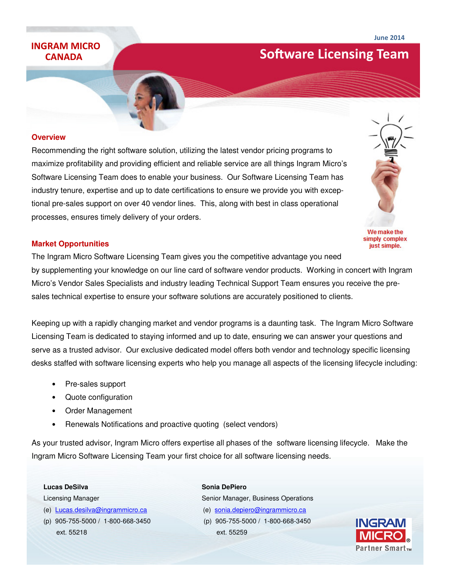## **CANADA**

# INGRAM MICRO **Software Licensing Team**

#### **Overview**

Recommending the right software solution, utilizing the latest vendor pricing programs to maximize profitability and providing efficient and reliable service are all things Ingram Micro's Software Licensing Team does to enable your business. Our Software Licensing Team has industry tenure, expertise and up to date certifications to ensure we provide you with exceptional pre-sales support on over 40 vendor lines. This, along with best in class operational processes, ensures timely delivery of your orders.

### **Market Opportunities**

The Ingram Micro Software Licensing Team gives you the competitive advantage you need by supplementing your knowledge on our line card of software vendor products. Working in concert with Ingram Micro's Vendor Sales Specialists and industry leading Technical Support Team ensures you receive the presales technical expertise to ensure your software solutions are accurately positioned to clients.

Keeping up with a rapidly changing market and vendor programs is a daunting task. The Ingram Micro Software Licensing Team is dedicated to staying informed and up to date, ensuring we can answer your questions and serve as a trusted advisor. Our exclusive dedicated model offers both vendor and technology specific licensing desks staffed with software licensing experts who help you manage all aspects of the licensing lifecycle including:

- Pre-sales support
- Quote configuration
- Order Management
- Renewals Notifications and proactive quoting (select vendors)

As your trusted advisor, Ingram Micro offers expertise all phases of the software licensing lifecycle. Make the Ingram Micro Software Licensing Team your first choice for all software licensing needs.

- 
- ext. 55218 ext. 55259

**Lucas DeSilva Sonia DePiero** 

Licensing Manager Senior Manager, Business Operations (e) Lucas.desilva@ingrammicro.ca (e) sonia.depiero@ingrammicro.ca (p) 905-755-5000 / 1-800-668-3450 (p) 905-755-5000 / 1-800-668-3450





We make the simply complex just simple.